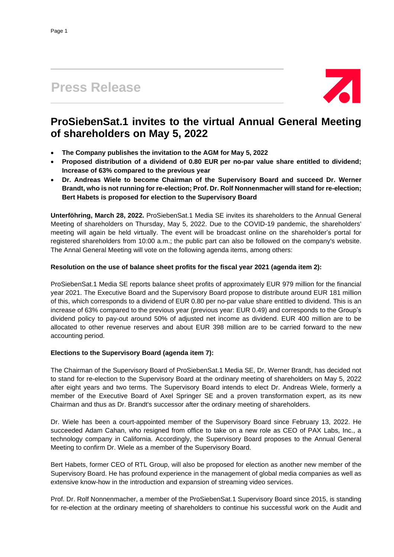# **Press Release**



## **ProSiebenSat.1 invites to the virtual Annual General Meeting of shareholders on May 5, 2022**

- **The Company publishes the invitation to the AGM for May 5, 2022**
- **Proposed distribution of a dividend of 0.80 EUR per no-par value share entitled to dividend; Increase of 63% compared to the previous year**
- **Dr. Andreas Wiele to become Chairman of the Supervisory Board and succeed Dr. Werner Brandt, who is not running for re-election; Prof. Dr. Rolf Nonnenmacher will stand for re-election; Bert Habets is proposed for election to the Supervisory Board**

**Unterföhring, March 28, 2022.** ProSiebenSat.1 Media SE invites its shareholders to the Annual General Meeting of shareholders on Thursday, May 5, 2022. Due to the COVID-19 pandemic, the shareholders' meeting will again be held virtually. The event will be broadcast online on the shareholder's portal for registered shareholders from 10:00 a.m.; the public part can also be followed on the company's website. The Annal General Meeting will vote on the following agenda items, among others:

## **Resolution on the use of balance sheet profits for the fiscal year 2021 (agenda item 2):**

ProSiebenSat.1 Media SE reports balance sheet profits of approximately EUR 979 million for the financial year 2021. The Executive Board and the Supervisory Board propose to distribute around EUR 181 million of this, which corresponds to a dividend of EUR 0.80 per no-par value share entitled to dividend. This is an increase of 63% compared to the previous year (previous year: EUR 0.49) and corresponds to the Group's dividend policy to pay-out around 50% of adjusted net income as dividend. EUR 400 million are to be allocated to other revenue reserves and about EUR 398 million are to be carried forward to the new accounting period.

## **Elections to the Supervisory Board (agenda item 7):**

The Chairman of the Supervisory Board of ProSiebenSat.1 Media SE, Dr. Werner Brandt, has decided not to stand for re-election to the Supervisory Board at the ordinary meeting of shareholders on May 5, 2022 after eight years and two terms. The Supervisory Board intends to elect Dr. Andreas Wiele, formerly a member of the Executive Board of Axel Springer SE and a proven transformation expert, as its new Chairman and thus as Dr. Brandt's successor after the ordinary meeting of shareholders.

Dr. Wiele has been a court-appointed member of the Supervisory Board since February 13, 2022. He succeeded Adam Cahan, who resigned from office to take on a new role as CEO of PAX Labs, Inc., a technology company in California. Accordingly, the Supervisory Board proposes to the Annual General Meeting to confirm Dr. Wiele as a member of the Supervisory Board.

Bert Habets, former CEO of RTL Group, will also be proposed for election as another new member of the Supervisory Board. He has profound experience in the management of global media companies as well as extensive know-how in the introduction and expansion of streaming video services.

Prof. Dr. Rolf Nonnenmacher, a member of the ProSiebenSat.1 Supervisory Board since 2015, is standing for re-election at the ordinary meeting of shareholders to continue his successful work on the Audit and